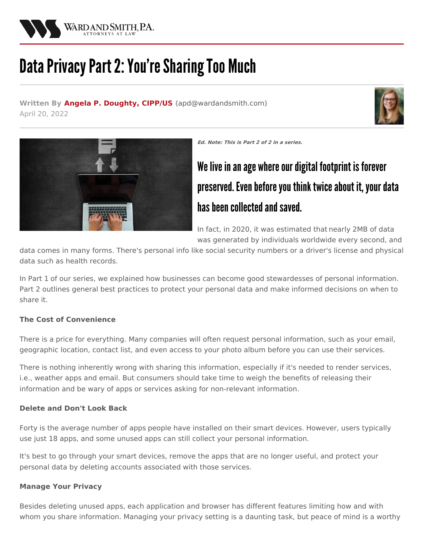

# Data Privacy Part 2: You're Sharing Too Much

**Written By Angela P. [Doughty,](/attorneys/angela-doughty) CIPP/US (**[apd@wardandsmith.com](mailto:apd@wardandsmith.com)**)** April 20, 2022





**Ed. Note: This is Part 2 of 2 in a series.**

# We live in an age where our digital footprint is forever preserved. Even before you think twice about it, your data has been collected and saved.

In fact, in 2020, it was estimated that [nearly](https://techjury.net/blog/how-much-data-is-created-every-day/#gref) 2MB of data was generated by individuals worldwide every second, and

data comes in many forms. There's personal info like social security numbers or a driver's license and physical data such as health records.

In [Part](/articles/data-privacy-part-1-the-new-currency-businesses-should-protect-and-heres-how) 1 of our series, we explained how businesses can become good stewardesses of personal information. Part 2 outlines general best practices to protect your personal data and make informed decisions on when to share it.

## **The Cost of Convenience**

There is a price for everything. Many companies will often request personal information, such as your email, geographic location, contact list, and even access to your photo album before you can use their services.

There is nothing inherently wrong with sharing this information, especially if it's needed to render services, i.e., weather apps and email. But consumers should take time to weigh the benefits of releasing their information and be wary of apps or services asking for non-relevant information.

## **Delete and Don't Look Back**

Forty is the [average](https://techjury.net/blog/app-usage-statistics/#gref) number of apps people have installed on their smart devices. However, users typically use just 18 apps, and some unused apps can still collect your personal information.

It's best to go through your smart devices, remove the apps that are no longer useful, and protect your personal data by deleting accounts associated with those services.

## **Manage Your Privacy**

Besides deleting unused apps, each application and browser has different features limiting how and with whom you share information. Managing your privacy setting is a daunting task, but peace of mind is a worthy